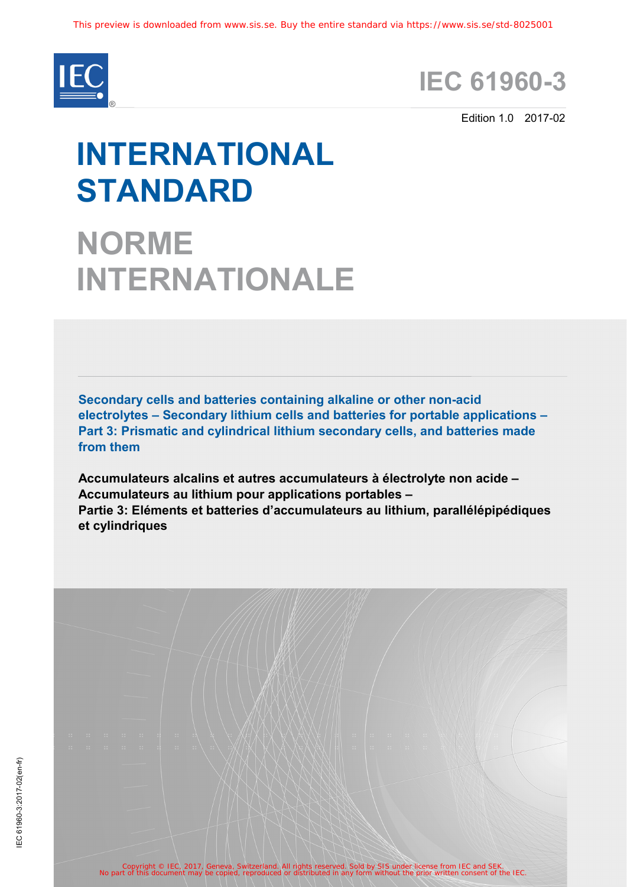



Edition 1.0 2017-02

# **INTERNATIONAL STANDARD**

# **NORME INTERNATIONALE**

**Secondary cells and batteries containing alkaline or other non-acid electrolytes – Secondary lithium cells and batteries for portable applications – Part 3: Prismatic and cylindrical lithium secondary cells, and batteries made from them** 

**Accumulateurs alcalins et autres accumulateurs à électrolyte non acide – Accumulateurs au lithium pour applications portables – Partie 3: Eléments et batteries d'accumulateurs au lithium, parallélépipédiques et cylindriques**

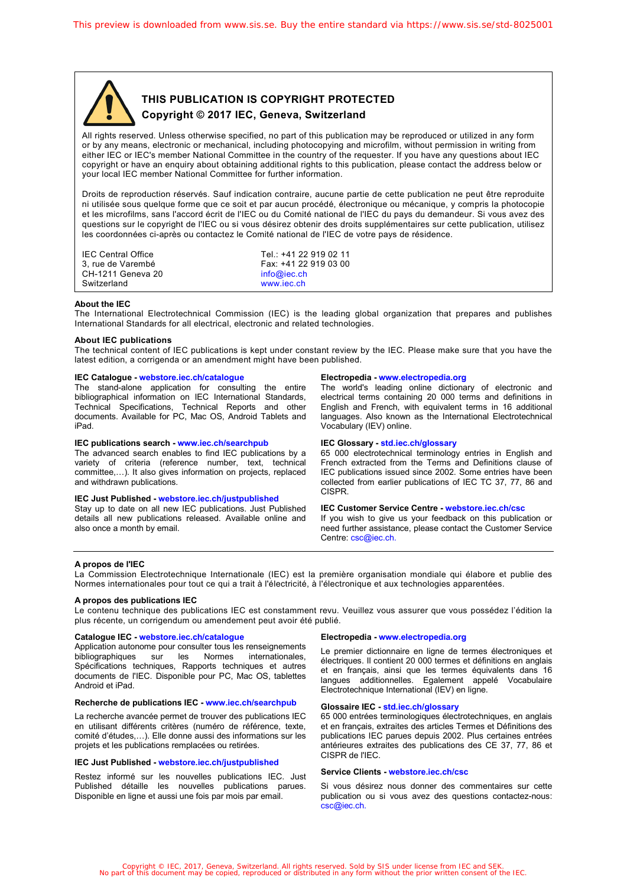

# **THIS PUBLICATION IS COPYRIGHT PROTECTED Copyright © 2017 IEC, Geneva, Switzerland**

All rights reserved. Unless otherwise specified, no part of this publication may be reproduced or utilized in any form or by any means, electronic or mechanical, including photocopying and microfilm, without permission in writing from either IEC or IEC's member National Committee in the country of the requester. If you have any questions about IEC copyright or have an enquiry about obtaining additional rights to this publication, please contact the address below or your local IEC member National Committee for further information.

Droits de reproduction réservés. Sauf indication contraire, aucune partie de cette publication ne peut être reproduite ni utilisée sous quelque forme que ce soit et par aucun procédé, électronique ou mécanique, y compris la photocopie et les microfilms, sans l'accord écrit de l'IEC ou du Comité national de l'IEC du pays du demandeur. Si vous avez des questions sur le copyright de l'IEC ou si vous désirez obtenir des droits supplémentaires sur cette publication, utilisez les coordonnées ci-après ou contactez le Comité national de l'IEC de votre pays de résidence.

| <b>IEC Central Office</b> | Tel.: +41 22 919 02 11 |
|---------------------------|------------------------|
| 3. rue de Varembé         | Fax: +41 22 919 03 00  |
| CH-1211 Geneva 20         | info@iec.ch            |
| Switzerland               | www.jec.ch             |

#### **About the IEC**

The International Electrotechnical Commission (IEC) is the leading global organization that prepares and publishes International Standards for all electrical, electronic and related technologies.

#### **About IEC publications**

The technical content of IEC publications is kept under constant review by the IEC. Please make sure that you have the latest edition, a corrigenda or an amendment might have been published.

#### **IEC Catalogue [- webstore.iec.ch/catalogue](http://webstore.iec.ch/catalogue)**

The stand-alone application for consulting the entire bibliographical information on IEC International Standards, Technical Specifications, Technical Reports and other documents. Available for PC, Mac OS, Android Tablets and iPad.

#### **IEC publications search [- www.iec.ch/searchpub](http://www.iec.ch/searchpub)**

The advanced search enables to find IEC publications by a variety of criteria (reference number, text, technical committee,…). It also gives information on projects, replaced and withdrawn publications.

#### **IEC Just Published [- webstore.iec.ch/justpublished](http://webstore.iec.ch/justpublished)**

Stay up to date on all new IEC publications. Just Published details all new publications released. Available online and also once a month by email.

#### **Electropedia - [www.electropedia.org](http://www.electropedia.org/)**

The world's leading online dictionary of electronic and electrical terms containing 20 000 terms and definitions in English and French, with equivalent terms in 16 additional languages. Also known as the International Electrotechnical Vocabulary (IEV) online.

#### **IEC Glossary [- std.iec.ch/glossary](http://std.iec.ch/glossary)**

65 000 electrotechnical terminology entries in English and French extracted from the Terms and Definitions clause of IEC publications issued since 2002. Some entries have been collected from earlier publications of IEC TC 37, 77, 86 and CISPR.

#### **IEC Customer Service Centre - [webstore.iec.ch/csc](http://webstore.iec.ch/csc)**

If you wish to give us your feedback on this publication or need further assistance, please contact the Customer Service Centre: [csc@iec.ch.](mailto:csc@iec.ch)

#### **A propos de l'IEC**

La Commission Electrotechnique Internationale (IEC) est la première organisation mondiale qui élabore et publie des Normes internationales pour tout ce qui a trait à l'électricité, à l'électronique et aux technologies apparentées.

#### **A propos des publications IEC**

Le contenu technique des publications IEC est constamment revu. Veuillez vous assurer que vous possédez l'édition la plus récente, un corrigendum ou amendement peut avoir été publié.

#### **Catalogue IEC [- webstore.iec.ch/catalogue](http://webstore.iec.ch/catalogue)**

Application autonome pour consulter tous les renseignements<br>bibliographiques sur les Normes internationales, bibliographiques sur Spécifications techniques, Rapports techniques et autres documents de l'IEC. Disponible pour PC, Mac OS, tablettes Android et iPad.

#### **Recherche de publications IEC [- www.iec.ch/searchpub](http://www.iec.ch/searchpub)**

La recherche avancée permet de trouver des publications IEC en utilisant différents critères (numéro de référence, texte, comité d'études,…). Elle donne aussi des informations sur les projets et les publications remplacées ou retirées.

#### **IEC Just Published [- webstore.iec.ch/justpublished](http://webstore.iec.ch/justpublished)**

Restez informé sur les nouvelles publications IEC. Just Published détaille les nouvelles publications parues. Disponible en ligne et aussi une fois par mois par email.

#### **Electropedia - [www.electropedia.org](http://www.electropedia.org/)**

Le premier dictionnaire en ligne de termes électroniques et électriques. Il contient 20 000 termes et définitions en anglais et en français, ainsi que les termes équivalents dans 16 langues additionnelles. Egalement appelé Vocabulaire Electrotechnique International (IEV) en ligne.

#### **Glossaire IEC - [std.iec.ch/glossary](http://std.iec.ch/glossary)**

65 000 entrées terminologiques électrotechniques, en anglais et en français, extraites des articles Termes et Définitions des publications IEC parues depuis 2002. Plus certaines entrées antérieures extraites des publications des CE 37, 77, 86 et CISPR de l'IEC.

#### **Service Clients [- webstore.iec.ch/csc](http://webstore.iec.ch/csc)**

Si vous désirez nous donner des commentaires sur cette publication ou si vous avez des questions contactez-nous: [csc@iec.ch.](mailto:csc@iec.ch)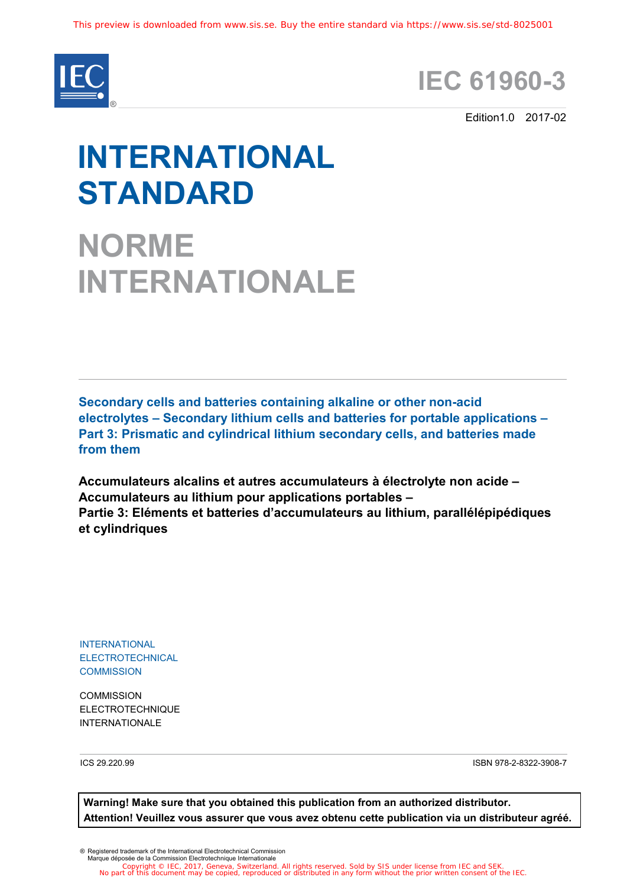



Edition1.0 2017-02

# **INTERNATIONAL STANDARD**

**NORME INTERNATIONALE**

**Secondary cells and batteries containing alkaline or other non-acid electrolytes – Secondary lithium cells and batteries for portable applications – Part 3: Prismatic and cylindrical lithium secondary cells, and batteries made from them** 

**Accumulateurs alcalins et autres accumulateurs à électrolyte non acide – Accumulateurs au lithium pour applications portables – Partie 3: Eléments et batteries d'accumulateurs au lithium, parallélépipédiques et cylindriques**

INTERNATIONAL ELECTROTECHNICAL **COMMISSION** 

**COMMISSION** ELECTROTECHNIQUE INTERNATIONALE

ICS 29.220.99 ISBN 978-2-8322-3908-7

**Warning! Make sure that you obtained this publication from an authorized distributor. Attention! Veuillez vous assurer que vous avez obtenu cette publication via un distributeur agréé.**

® Registered trademark of the International Electrotechnical Commission Marque déposée de la Commission Electrotechnique Internationale

Copyright © IEC, 2017, Geneva, Switzerland. All rights reserved. Sold by SIS under license from IEC and SEK.<br>No part of this document may be copied, reproduced or distributed in any form without the prior written consent o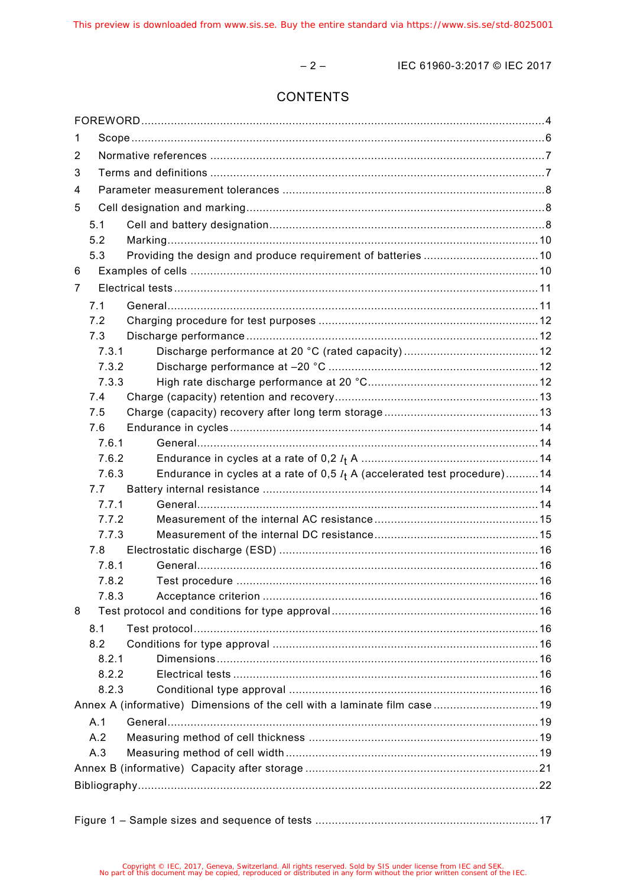$-2-$ 

IEC 61960-3:2017 © IEC 2017

# **CONTENTS**

| 1<br>2<br>3<br>4<br>5<br>5.1<br>5.2<br>5.3<br>6<br>7<br>7.1<br>7.2<br>7.3<br>7.3.1<br>7.3.2<br>7.3.3<br>7.4<br>7.5<br>7.6<br>7.6.1<br>7.6.2<br>Endurance in cycles at a rate of 0,5 $I_t$ A (accelerated test procedure)14<br>7.6.3<br>7.7<br>7.7.1<br>7.7.2<br>7.7.3<br>7.8<br>7.8.1<br>7.8.2<br>7.8.3<br>8<br>8.1<br>8.2<br>8.2.1<br>8.2.2<br>8.2.3<br>Annex A (informative) Dimensions of the cell with a laminate film case  19<br>A.1<br>A.2<br>A.3 |  |  |  |  |
|----------------------------------------------------------------------------------------------------------------------------------------------------------------------------------------------------------------------------------------------------------------------------------------------------------------------------------------------------------------------------------------------------------------------------------------------------------|--|--|--|--|
|                                                                                                                                                                                                                                                                                                                                                                                                                                                          |  |  |  |  |
|                                                                                                                                                                                                                                                                                                                                                                                                                                                          |  |  |  |  |
|                                                                                                                                                                                                                                                                                                                                                                                                                                                          |  |  |  |  |
|                                                                                                                                                                                                                                                                                                                                                                                                                                                          |  |  |  |  |
|                                                                                                                                                                                                                                                                                                                                                                                                                                                          |  |  |  |  |
|                                                                                                                                                                                                                                                                                                                                                                                                                                                          |  |  |  |  |
|                                                                                                                                                                                                                                                                                                                                                                                                                                                          |  |  |  |  |
|                                                                                                                                                                                                                                                                                                                                                                                                                                                          |  |  |  |  |
|                                                                                                                                                                                                                                                                                                                                                                                                                                                          |  |  |  |  |
|                                                                                                                                                                                                                                                                                                                                                                                                                                                          |  |  |  |  |
|                                                                                                                                                                                                                                                                                                                                                                                                                                                          |  |  |  |  |
|                                                                                                                                                                                                                                                                                                                                                                                                                                                          |  |  |  |  |
|                                                                                                                                                                                                                                                                                                                                                                                                                                                          |  |  |  |  |
|                                                                                                                                                                                                                                                                                                                                                                                                                                                          |  |  |  |  |
|                                                                                                                                                                                                                                                                                                                                                                                                                                                          |  |  |  |  |
|                                                                                                                                                                                                                                                                                                                                                                                                                                                          |  |  |  |  |
|                                                                                                                                                                                                                                                                                                                                                                                                                                                          |  |  |  |  |
|                                                                                                                                                                                                                                                                                                                                                                                                                                                          |  |  |  |  |
|                                                                                                                                                                                                                                                                                                                                                                                                                                                          |  |  |  |  |
|                                                                                                                                                                                                                                                                                                                                                                                                                                                          |  |  |  |  |
|                                                                                                                                                                                                                                                                                                                                                                                                                                                          |  |  |  |  |
|                                                                                                                                                                                                                                                                                                                                                                                                                                                          |  |  |  |  |
|                                                                                                                                                                                                                                                                                                                                                                                                                                                          |  |  |  |  |
|                                                                                                                                                                                                                                                                                                                                                                                                                                                          |  |  |  |  |
|                                                                                                                                                                                                                                                                                                                                                                                                                                                          |  |  |  |  |
|                                                                                                                                                                                                                                                                                                                                                                                                                                                          |  |  |  |  |
|                                                                                                                                                                                                                                                                                                                                                                                                                                                          |  |  |  |  |
|                                                                                                                                                                                                                                                                                                                                                                                                                                                          |  |  |  |  |
|                                                                                                                                                                                                                                                                                                                                                                                                                                                          |  |  |  |  |
|                                                                                                                                                                                                                                                                                                                                                                                                                                                          |  |  |  |  |
|                                                                                                                                                                                                                                                                                                                                                                                                                                                          |  |  |  |  |
|                                                                                                                                                                                                                                                                                                                                                                                                                                                          |  |  |  |  |
|                                                                                                                                                                                                                                                                                                                                                                                                                                                          |  |  |  |  |
|                                                                                                                                                                                                                                                                                                                                                                                                                                                          |  |  |  |  |
|                                                                                                                                                                                                                                                                                                                                                                                                                                                          |  |  |  |  |
|                                                                                                                                                                                                                                                                                                                                                                                                                                                          |  |  |  |  |
|                                                                                                                                                                                                                                                                                                                                                                                                                                                          |  |  |  |  |
|                                                                                                                                                                                                                                                                                                                                                                                                                                                          |  |  |  |  |
|                                                                                                                                                                                                                                                                                                                                                                                                                                                          |  |  |  |  |
|                                                                                                                                                                                                                                                                                                                                                                                                                                                          |  |  |  |  |
|                                                                                                                                                                                                                                                                                                                                                                                                                                                          |  |  |  |  |
|                                                                                                                                                                                                                                                                                                                                                                                                                                                          |  |  |  |  |

|  |  | Figure 1 – Sample sizes and sequence of tests ………………………………………………………………………17 |  |
|--|--|-----------------------------------------------------------------------------|--|
|--|--|-----------------------------------------------------------------------------|--|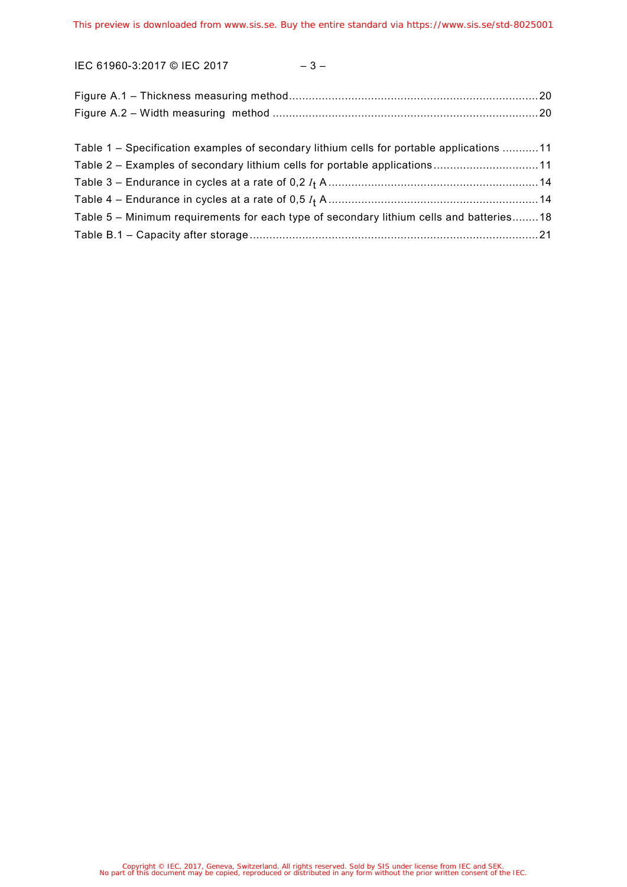| IEC 61960-3:2017 © IEC 2017 | $-5-$ |
|-----------------------------|-------|
|                             |       |

| Table 1 – Specification examples of secondary lithium cells for portable applications 11                                                                                                                                                                                                            |  |
|-----------------------------------------------------------------------------------------------------------------------------------------------------------------------------------------------------------------------------------------------------------------------------------------------------|--|
| Table 2 – Examples of secondary lithium cells for portable applications11                                                                                                                                                                                                                           |  |
|                                                                                                                                                                                                                                                                                                     |  |
| $\mathcal{F}$ and $\mathcal{F}$ and $\mathcal{F}$ are the set of $\mathcal{F}$ and $\mathcal{F}$ and $\mathcal{F}$ and $\mathcal{F}$ and $\mathcal{F}$ are the set of $\mathcal{F}$ and $\mathcal{F}$ are the set of $\mathcal{F}$ and $\mathcal{F}$ are the set of $\mathcal{F}$ and $\mathcal{F}$ |  |

| Table 5 – Minimum requirements for each type of secondary lithium cells and batteries18 |  |
|-----------------------------------------------------------------------------------------|--|
|                                                                                         |  |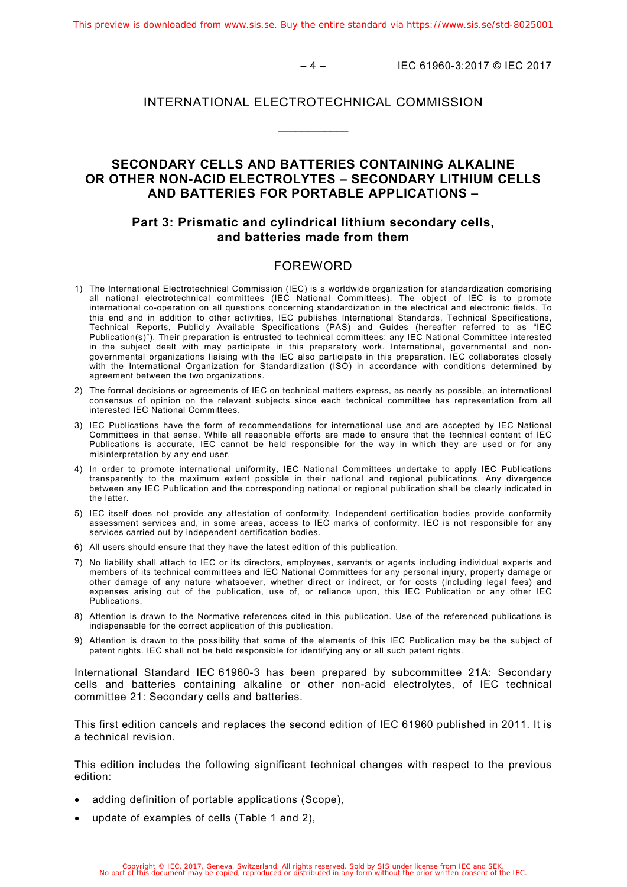– 4 – IEC 61960-3:2017 © IEC 2017

## INTERNATIONAL ELECTROTECHNICAL COMMISSION

\_\_\_\_\_\_\_\_\_\_\_\_

# **SECONDARY CELLS AND BATTERIES CONTAINING ALKALINE OR OTHER NON-ACID ELECTROLYTES – SECONDARY LITHIUM CELLS AND BATTERIES FOR PORTABLE APPLICATIONS –**

# **Part 3: Prismatic and cylindrical lithium secondary cells, and batteries made from them**

## FOREWORD

- <span id="page-5-0"></span>1) The International Electrotechnical Commission (IEC) is a worldwide organization for standardization comprising all national electrotechnical committees (IEC National Committees). The object of IEC is to promote international co-operation on all questions concerning standardization in the electrical and electronic fields. To this end and in addition to other activities, IEC publishes International Standards, Technical Specifications, Technical Reports, Publicly Available Specifications (PAS) and Guides (hereafter referred to as "IEC Publication(s)"). Their preparation is entrusted to technical committees; any IEC National Committee interested in the subject dealt with may participate in this preparatory work. International, governmental and nongovernmental organizations liaising with the IEC also participate in this preparation. IEC collaborates closely with the International Organization for Standardization (ISO) in accordance with conditions determined by agreement between the two organizations.
- 2) The formal decisions or agreements of IEC on technical matters express, as nearly as possible, an international consensus of opinion on the relevant subjects since each technical committee has representation from all interested IEC National Committees.
- 3) IEC Publications have the form of recommendations for international use and are accepted by IEC National Committees in that sense. While all reasonable efforts are made to ensure that the technical content of IEC Publications is accurate, IEC cannot be held responsible for the way in which they are used or for any misinterpretation by any end user.
- 4) In order to promote international uniformity, IEC National Committees undertake to apply IEC Publications transparently to the maximum extent possible in their national and regional publications. Any divergence between any IEC Publication and the corresponding national or regional publication shall be clearly indicated in the latter.
- 5) IEC itself does not provide any attestation of conformity. Independent certification bodies provide conformity assessment services and, in some areas, access to IEC marks of conformity. IEC is not responsible for any services carried out by independent certification bodies.
- 6) All users should ensure that they have the latest edition of this publication.
- 7) No liability shall attach to IEC or its directors, employees, servants or agents including individual experts and members of its technical committees and IEC National Committees for any personal injury, property damage or other damage of any nature whatsoever, whether direct or indirect, or for costs (including legal fees) and expenses arising out of the publication, use of, or reliance upon, this IEC Publication or any other IEC Publications.
- 8) Attention is drawn to the Normative references cited in this publication. Use of the referenced publications is indispensable for the correct application of this publication.
- 9) Attention is drawn to the possibility that some of the elements of this IEC Publication may be the subject of patent rights. IEC shall not be held responsible for identifying any or all such patent rights.

International Standard IEC 61960-3 has been prepared by subcommittee 21A: Secondary cells and batteries containing alkaline or other non-acid electrolytes, of IEC technical committee 21: Secondary cells and batteries.

This first edition cancels and replaces the second edition of IEC 61960 published in 2011. It is a technical revision.

This edition includes the following significant technical changes with respect to the previous edition:

- adding definition of portable applications (Scope),
- update of examples of cells (Table 1 and 2),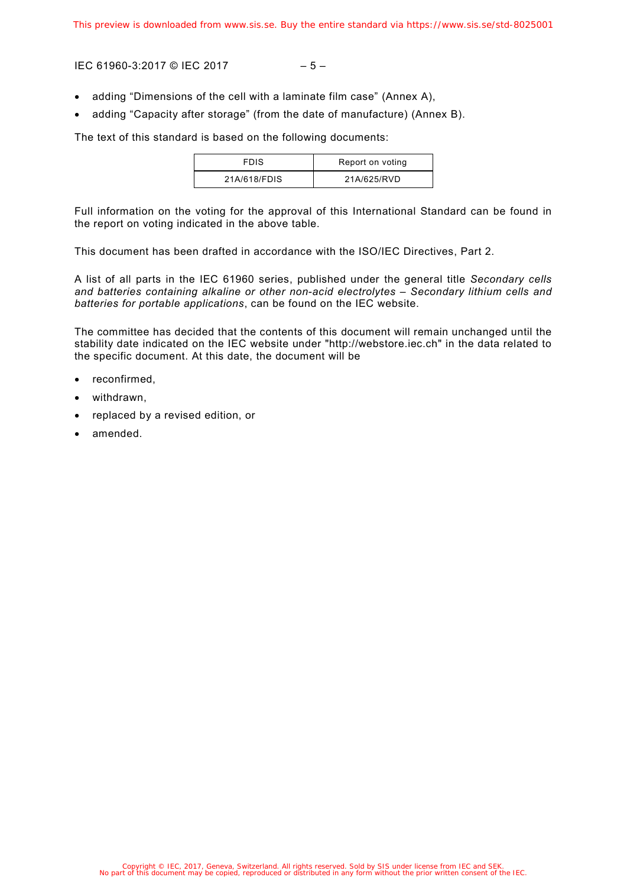IEC 61960-3:2017 © IEC 2017 – 5 –

- adding "Dimensions of the cell with a laminate film case" (Annex A),
- adding "Capacity after storage" (from the date of manufacture) (Annex B).

The text of this standard is based on the following documents:

| <b>FDIS</b>  | Report on voting |
|--------------|------------------|
| 21A/618/FDIS | 21A/625/RVD      |

Full information on the voting for the approval of this International Standard can be found in the report on voting indicated in the above table.

This document has been drafted in accordance with the ISO/IEC Directives, Part 2.

A list of all parts in the IEC 61960 series, published under the general title *Secondary cells and batteries containing alkaline or other non-acid electrolytes – Secondary lithium cells and batteries for portable applications*, can be found on the IEC website.

The committee has decided that the contents of this document will remain unchanged until the stability date indicated on the IEC website under "http://webstore.iec.ch" in the data related to the specific document. At this date, the document will be

- reconfirmed,
- withdrawn,
- replaced by a revised edition, or
- amended.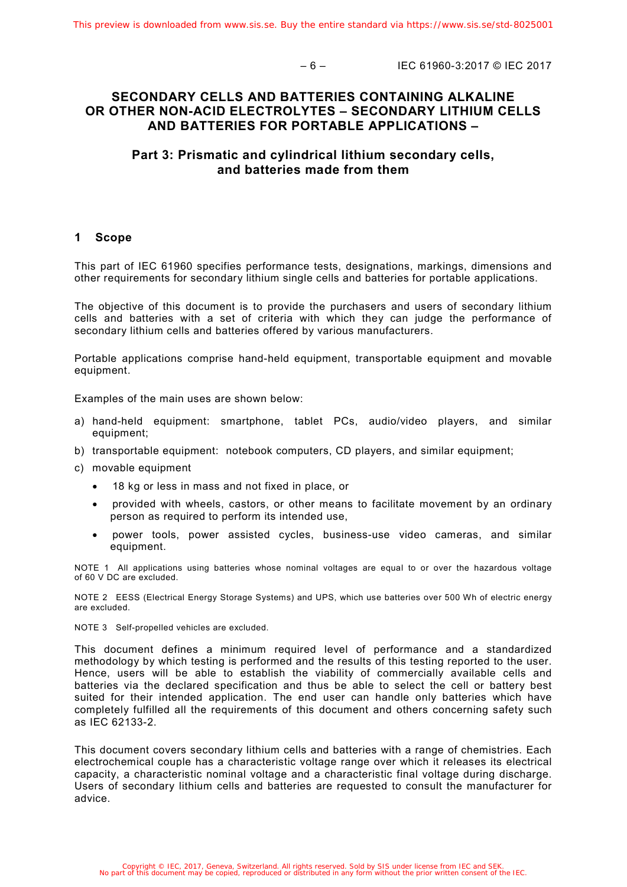– 6 – IEC 61960-3:2017 © IEC 2017

# **SECONDARY CELLS AND BATTERIES CONTAINING ALKALINE OR OTHER NON-ACID ELECTROLYTES – SECONDARY LITHIUM CELLS AND BATTERIES FOR PORTABLE APPLICATIONS –**

## **Part 3: Prismatic and cylindrical lithium secondary cells, and batteries made from them**

## <span id="page-7-0"></span>**1 Scope**

This part of IEC 61960 specifies performance tests, designations, markings, dimensions and other requirements for secondary lithium single cells and batteries for portable applications.

The objective of this document is to provide the purchasers and users of secondary lithium cells and batteries with a set of criteria with which they can judge the performance of secondary lithium cells and batteries offered by various manufacturers.

Portable applications comprise hand-held equipment, transportable equipment and movable equipment.

Examples of the main uses are shown below:

- a) hand-held equipment: smartphone, tablet PCs, audio/video players, and similar equipment;
- b) transportable equipment: notebook computers, CD players, and similar equipment;
- c) movable equipment
	- 18 kg or less in mass and not fixed in place, or
	- provided with wheels, castors, or other means to facilitate movement by an ordinary person as required to perform its intended use,
	- power tools, power assisted cycles, business-use video cameras, and similar equipment.

NOTE 1 All applications using batteries whose nominal voltages are equal to or over the hazardous voltage of 60 V DC are excluded.

NOTE 2 EESS (Electrical Energy Storage Systems) and UPS, which use batteries over 500 Wh of electric energy are excluded.

NOTE 3 Self-propelled vehicles are excluded.

This document defines a minimum required level of performance and a standardized methodology by which testing is performed and the results of this testing reported to the user. Hence, users will be able to establish the viability of commercially available cells and batteries via the declared specification and thus be able to select the cell or battery best suited for their intended application. The end user can handle only batteries which have completely fulfilled all the requirements of this document and others concerning safety such as IEC 62133-2.

This document covers secondary lithium cells and batteries with a range of chemistries. Each electrochemical couple has a characteristic voltage range over which it releases its electrical capacity, a characteristic nominal voltage and a characteristic final voltage during discharge. Users of secondary lithium cells and batteries are requested to consult the manufacturer for advice.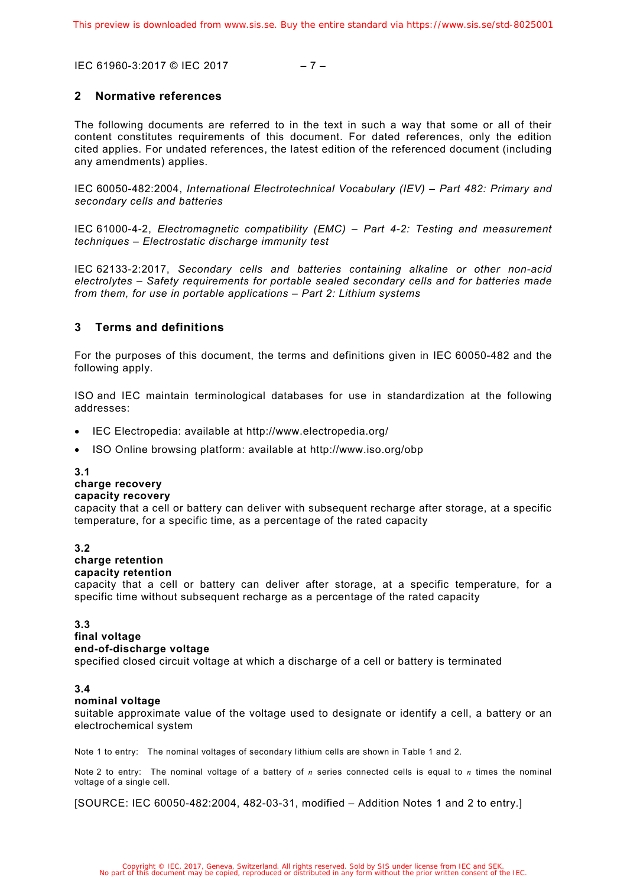IEC 61960-3:2017 © IEC 2017 – 7 –

## <span id="page-8-0"></span>**2 Normative references**

The following documents are referred to in the text in such a way that some or all of their content constitutes requirements of this document. For dated references, only the edition cited applies. For undated references, the latest edition of the referenced document (including any amendments) applies.

IEC 60050-482:2004, *International Electrotechnical Vocabulary (IEV) – Part 482: Primary and secondary cells and batteries*

IEC 61000-4-2, *Electromagnetic compatibility (EMC) – Part 4-2: Testing and measurement techniques – Electrostatic discharge immunity test*

IEC 62133-2:2017, *Secondary cells and batteries containing alkaline or other non-acid electrolytes – Safety requirements for portable sealed secondary cells and for batteries made from them, for use in portable applications – Part 2: Lithium systems*

## <span id="page-8-1"></span>**3 Terms and definitions**

For the purposes of this document, the terms and definitions given in IEC 60050-482 and the following apply.

ISO and IEC maintain terminological databases for use in standardization at the following addresses:

- IEC Electropedia: available at http://www.electropedia.org/
- ISO Online browsing platform: available at<http://www.iso.org/obp>

**3.1** 

#### **charge recovery**

#### **capacity recovery**

capacity that a cell or battery can deliver with subsequent recharge after storage, at a specific temperature, for a specific time, as a percentage of the rated capacity

#### **3.2**

## **charge retention**

## **capacity retention**

capacity that a cell or battery can deliver after storage, at a specific temperature, for a specific time without subsequent recharge as a percentage of the rated capacity

#### **3.3**

# **final voltage**

**end-of-discharge voltage**

specified closed circuit voltage at which a discharge of a cell or battery is terminated

## **3.4**

#### **nominal voltage**

suitable approximate value of the voltage used to designate or identify a cell, a battery or an electrochemical system

Note 1 to entry: The nominal voltages of secondary lithium cells are shown in Table 1 and 2.

Note 2 to entry: The nominal voltage of a battery of *n* series connected cells is equal to *n* times the nominal voltage of a single cell.

[SOURCE: IEC 60050-482:2004, 482-03-31, modified – Addition Notes 1 and 2 to entry.]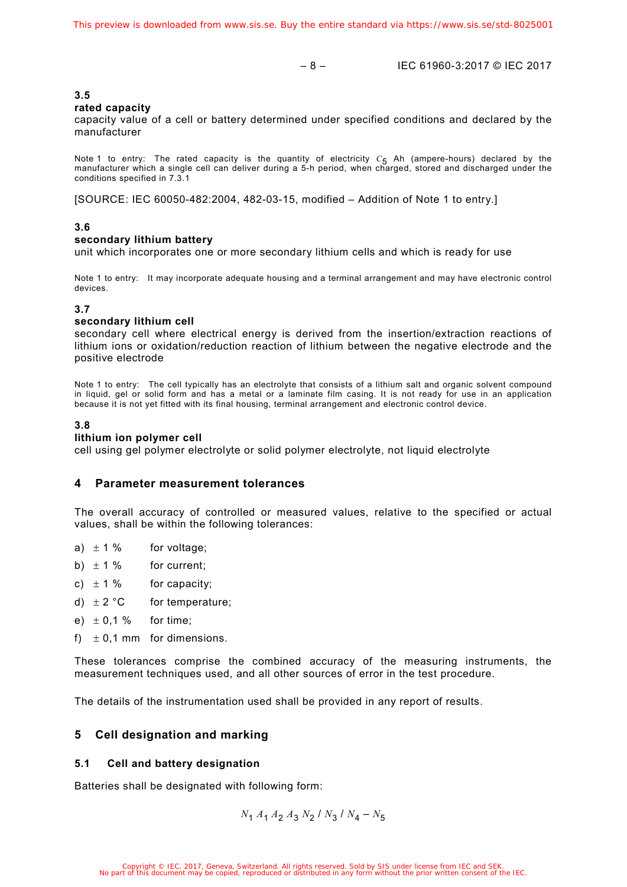– 8 – IEC 61960-3:2017 © IEC 2017

## **3.5**

## **rated capacity**

capacity value of a cell or battery determined under specified conditions and declared by the manufacturer

Note 1 to entry: The rated capacity is the quantity of electricity  $C_5$  Ah (ampere-hours) declared by the manufacturer which a single cell can deliver during a 5-h period, when charged, stored and discharged under the conditions specified in 7.3.1

[SOURCE: IEC 60050-482:2004, 482-03-15, modified – Addition of Note 1 to entry.]

## **3.6**

## **secondary lithium battery**

unit which incorporates one or more secondary lithium cells and which is ready for use

Note 1 to entry: It may incorporate adequate housing and a terminal arrangement and may have electronic control devices.

### **3.7**

### **secondary lithium cell**

secondary cell where electrical energy is derived from the insertion/extraction reactions of lithium ions or oxidation/reduction reaction of lithium between the negative electrode and the positive electrode

Note 1 to entry: The cell typically has an electrolyte that consists of a lithium salt and organic solvent compound in liquid, gel or solid form and has a metal or a laminate film casing. It is not ready for use in an application because it is not yet fitted with its final housing, terminal arrangement and electronic control device.

### **3.8**

#### **lithium ion polymer cell**

cell using gel polymer electrolyte or solid polymer electrolyte, not liquid electrolyte

## <span id="page-9-0"></span>**4 Parameter measurement tolerances**

The overall accuracy of controlled or measured values, relative to the specified or actual values, shall be within the following tolerances:

- a)  $\pm$  1 % for voltage;
- b)  $\pm 1$  % for current;
- c)  $\pm 1$  % for capacity;
- d)  $\pm 2$  °C for temperature;
- e)  $\pm$  0,1 % for time;
- f)  $\pm$  0,1 mm for dimensions.

These tolerances comprise the combined accuracy of the measuring instruments, the measurement techniques used, and all other sources of error in the test procedure.

The details of the instrumentation used shall be provided in any report of results.

## <span id="page-9-1"></span>**5 Cell designation and marking**

## <span id="page-9-2"></span>**5.1 Cell and battery designation**

Batteries shall be designated with following form:

$$
N_1 A_1 A_2 A_3 N_2 / N_3 / N_4 - N_5
$$